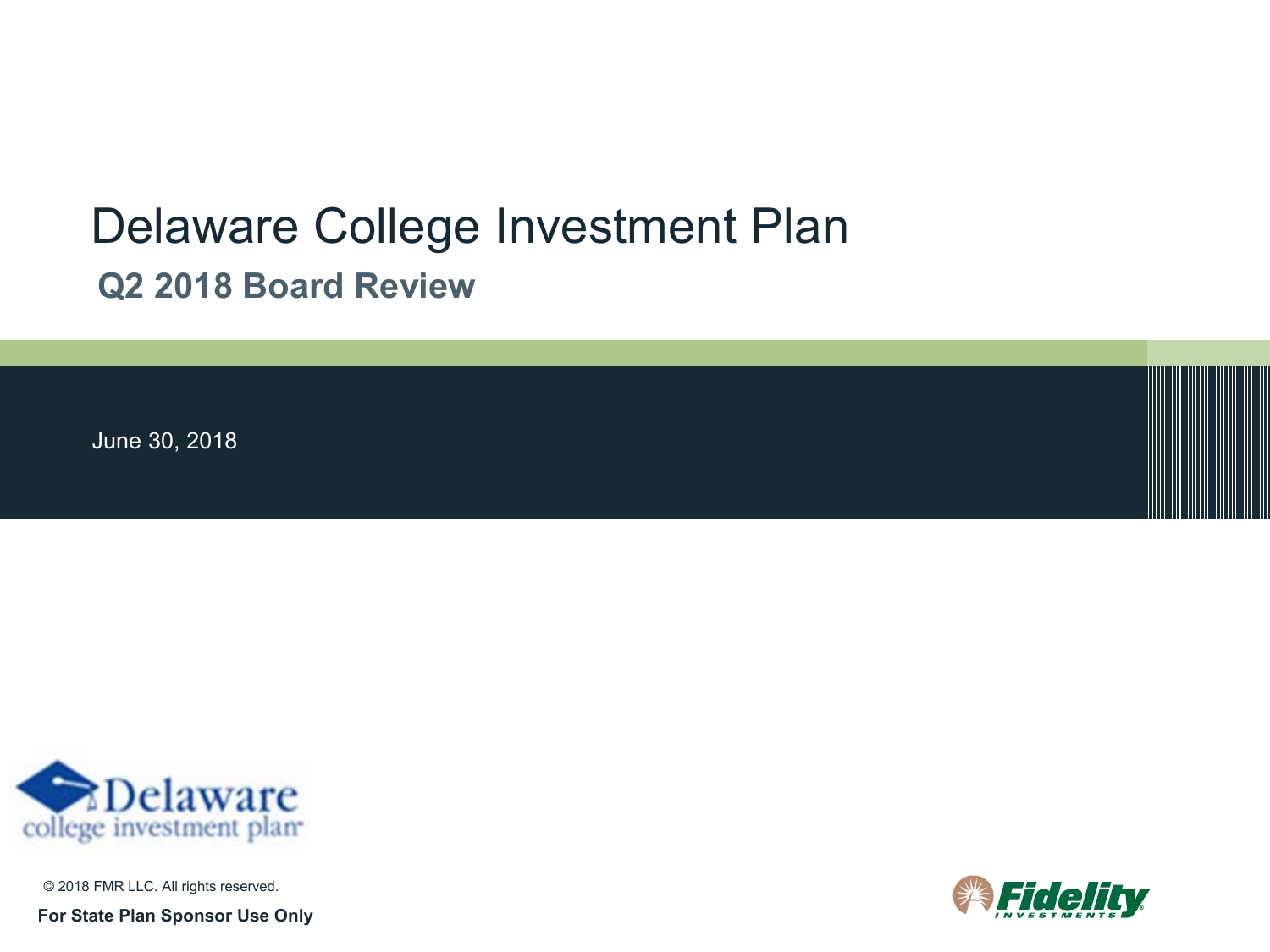# Delaware College Investment Plan **Q2 2018 Board Review**

June 30, 2018



© 2018 FMR LLC. All rights reserved.

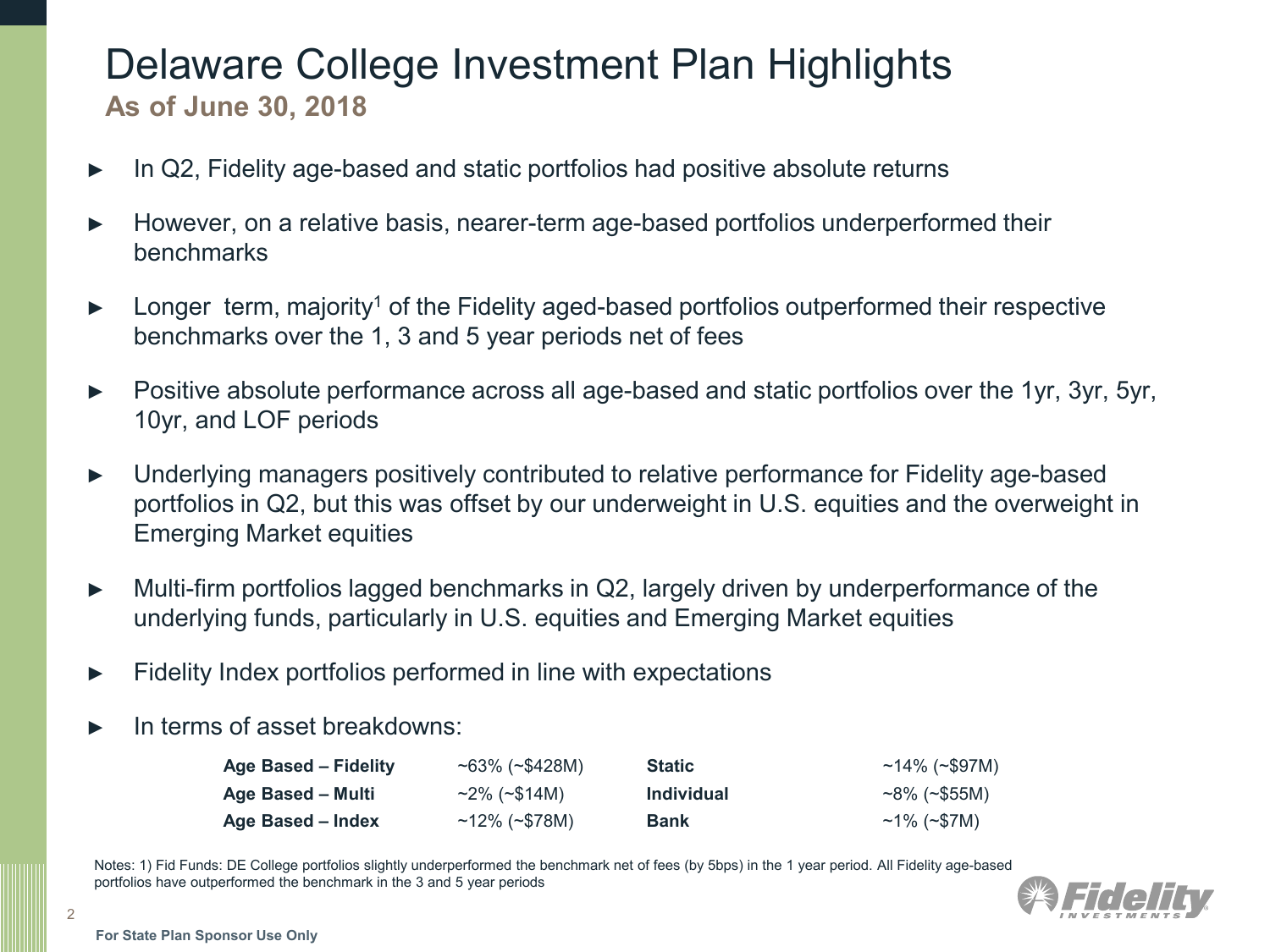### Delaware College Investment Plan Highlights **As of June 30, 2018**

- In Q2, Fidelity age-based and static portfolios had positive absolute returns
- ► However, on a relative basis, nearer-term age-based portfolios underperformed their benchmarks
- ► Longer term, majority<sup>1</sup> of the Fidelity aged-based portfolios outperformed their respective benchmarks over the 1, 3 and 5 year periods net of fees
- ► Positive absolute performance across all age-based and static portfolios over the 1yr, 3yr, 5yr, 10yr, and LOF periods
- ► Underlying managers positively contributed to relative performance for Fidelity age-based portfolios in Q2, but this was offset by our underweight in U.S. equities and the overweight in Emerging Market equities
- ► Multi-firm portfolios lagged benchmarks in Q2, largely driven by underperformance of the underlying funds, particularly in U.S. equities and Emerging Market equities
- ► Fidelity Index portfolios performed in line with expectations
- In terms of asset breakdowns:

| Age Based - Fidelity | $~100\%$ (~\$428M)        | <b>Static</b>     | ~14% (~\$97M)      |
|----------------------|---------------------------|-------------------|--------------------|
| Age Based – Multi    | $\sim$ 2% ( $\sim$ \$14M) | <b>Individual</b> | $~100$ (~\$55M)    |
| Age Based – Index    | $~12\%~(^2$78M)$          | <b>Bank</b>       | $~1\%~(^{+}$ \$7M) |

Notes: 1) Fid Funds: DE College portfolios slightly underperformed the benchmark net of fees (by 5bps) in the 1 year period. All Fidelity age-based portfolios have outperformed the benchmark in the 3 and 5 year periods

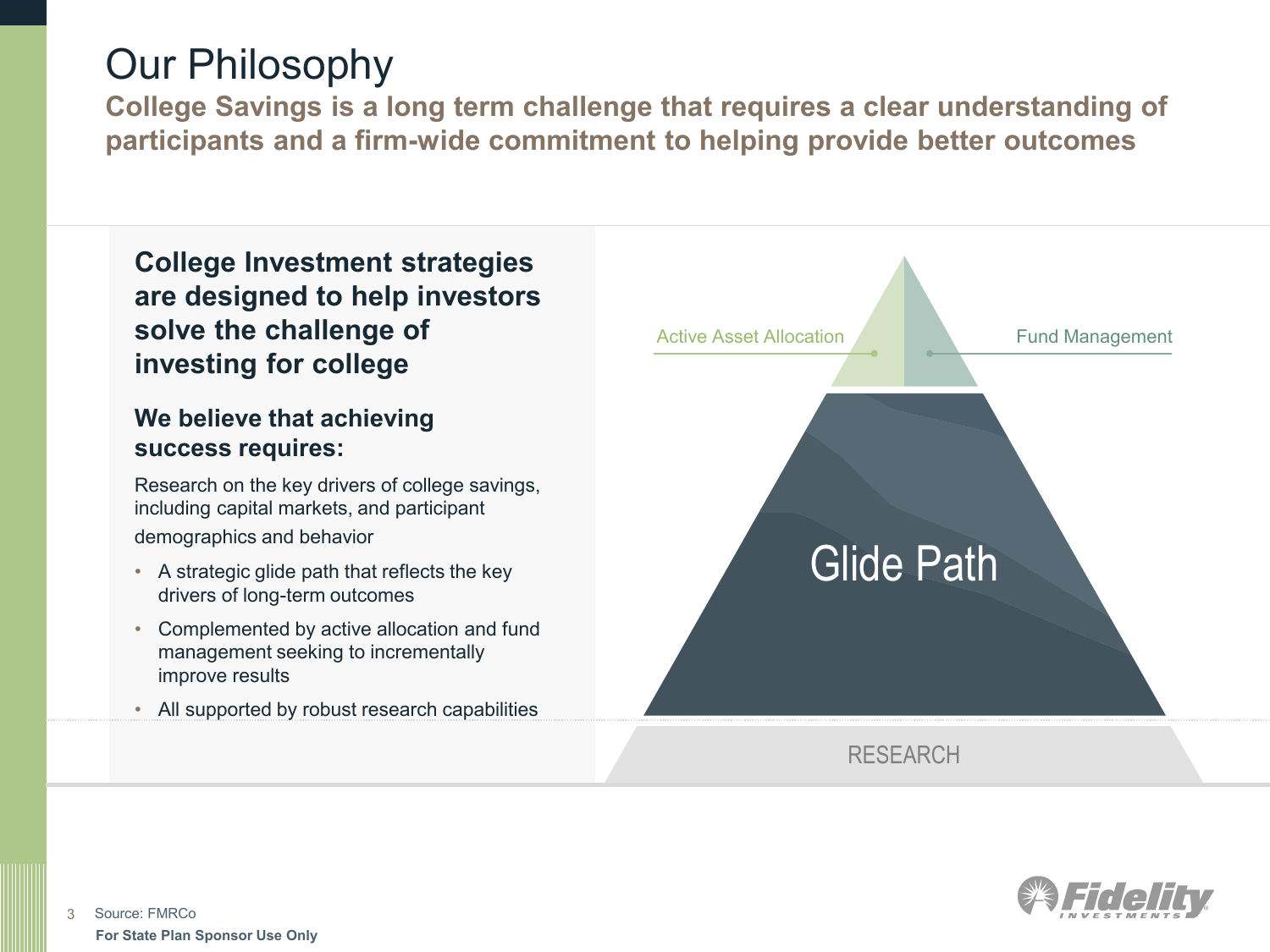## Our Philosophy

**College Savings is a long term challenge that requires a clear understanding of participants and a firm-wide commitment to helping provide better outcomes**

**College Investment strategies are designed to help investors solve the challenge of investing for college**

### **We believe that achieving success requires:**

Research on the key drivers of college savings, including capital markets, and participant demographics and behavior

- A strategic glide path that reflects the key drivers of long-term outcomes
- Complemented by active allocation and fund management seeking to incrementally improve results
- All supported by robust research capabilities



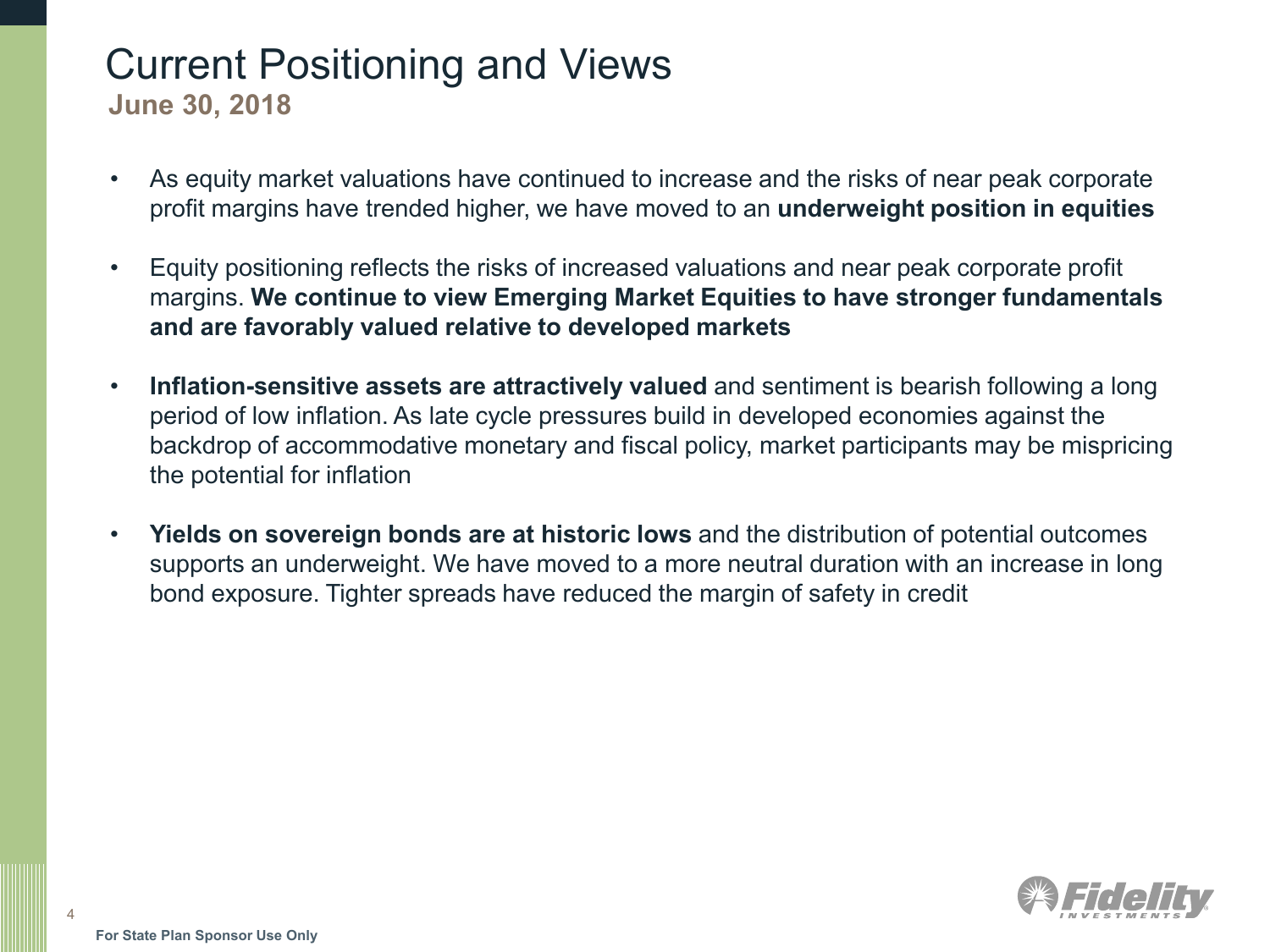## Current Positioning and Views

**June 30, 2018**

- As equity market valuations have continued to increase and the risks of near peak corporate profit margins have trended higher, we have moved to an **underweight position in equities**
- Equity positioning reflects the risks of increased valuations and near peak corporate profit margins. **We continue to view Emerging Market Equities to have stronger fundamentals and are favorably valued relative to developed markets**
- **Inflation-sensitive assets are attractively valued** and sentiment is bearish following a long period of low inflation. As late cycle pressures build in developed economies against the backdrop of accommodative monetary and fiscal policy, market participants may be mispricing the potential for inflation
- **Yields on sovereign bonds are at historic lows** and the distribution of potential outcomes supports an underweight. We have moved to a more neutral duration with an increase in long bond exposure. Tighter spreads have reduced the margin of safety in credit

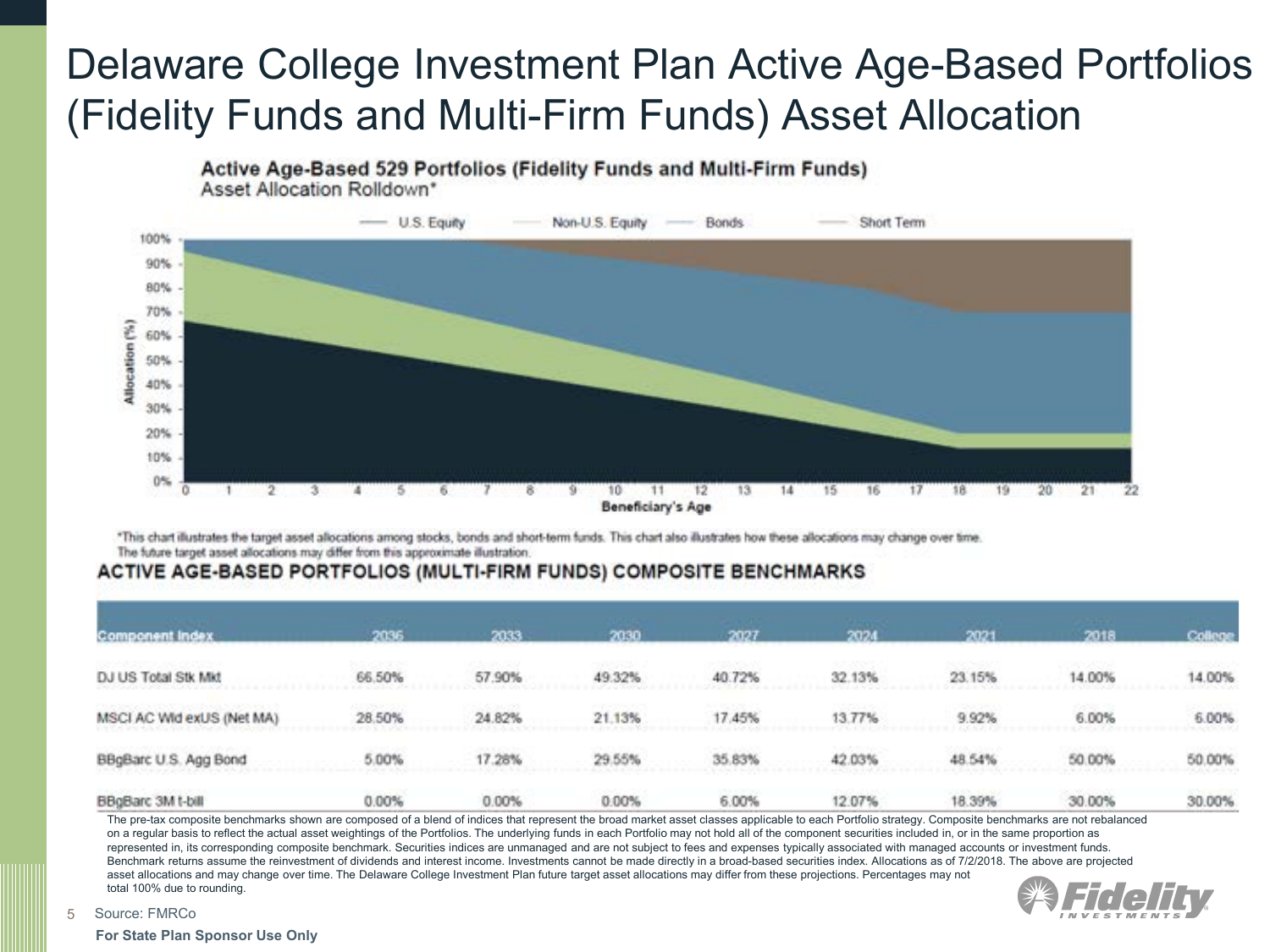## Delaware College Investment Plan Active Age-Based Portfolios (Fidelity Funds and Multi-Firm Funds) Asset Allocation

Active Age-Based 529 Portfolios (Fidelity Funds and Multi-Firm Funds)

Asset Allocation Rolldown\*



\*This chart illustrates the target asset allocations among stocks, bonds and short-term funds. This chart also illustrates how these allocations may change over time. The future target asset allocations may differ from this approximate illustration

#### ACTIVE AGE-BASED PORTFOLIOS (MULTI-FIRM FUNDS) COMPOSITE BENCHMARKS

| <b>Component Index</b>    | 2036   | 2033   | 2030   | 2027   | 2024   | 2021   | 2018   | College |
|---------------------------|--------|--------|--------|--------|--------|--------|--------|---------|
| DJ US Total Stk Mkt       | 66.50% | 57.90% | 49.32% | 40.72% | 32.13% | 23.15% | 14.00% | 14.00%  |
| MSCI AC Wid exUS (Net MA) | 28.50% | 24.82% | 21.13% | 17.45% | 13.77% | 9.92%  | 6.00%  | 6.00%   |
| BBgBarc U.S. Agg Bond     | 5.00%  | 17.28% | 29.55% | 35.83% | 42.03% | 48.54% | 50.00% | 50.00%  |
| BBgBarc 3M t-bill         | 0.00%  | 0.00%  | 0.00%  | 6.00%  | 12.07% | 18.39% | 30.00% | 30.00%  |

The pre-tax composite benchmarks shown are composed of a blend of indices that represent the broad market asset classes applicable to each Portfolio strategy. Composite benchmarks are not rebalanced on a regular basis to reflect the actual asset weightings of the Portfolios. The underlying funds in each Portfolio may not hold all of the component securities included in, or in the same proportion as represented in, its corresponding composite benchmark. Securities indices are unmanaged and are not subject to fees and expenses typically associated with managed accounts or investment funds. Benchmark returns assume the reinvestment of dividends and interest income. Investments cannot be made directly in a broad-based securities index. Allocations as of 7/2/2018. The above are projected asset allocations and may change over time. The Delaware College Investment Plan future target asset allocations may differ from these projections. Percentages may not total 100% due to rounding.



5 Source: FMRCo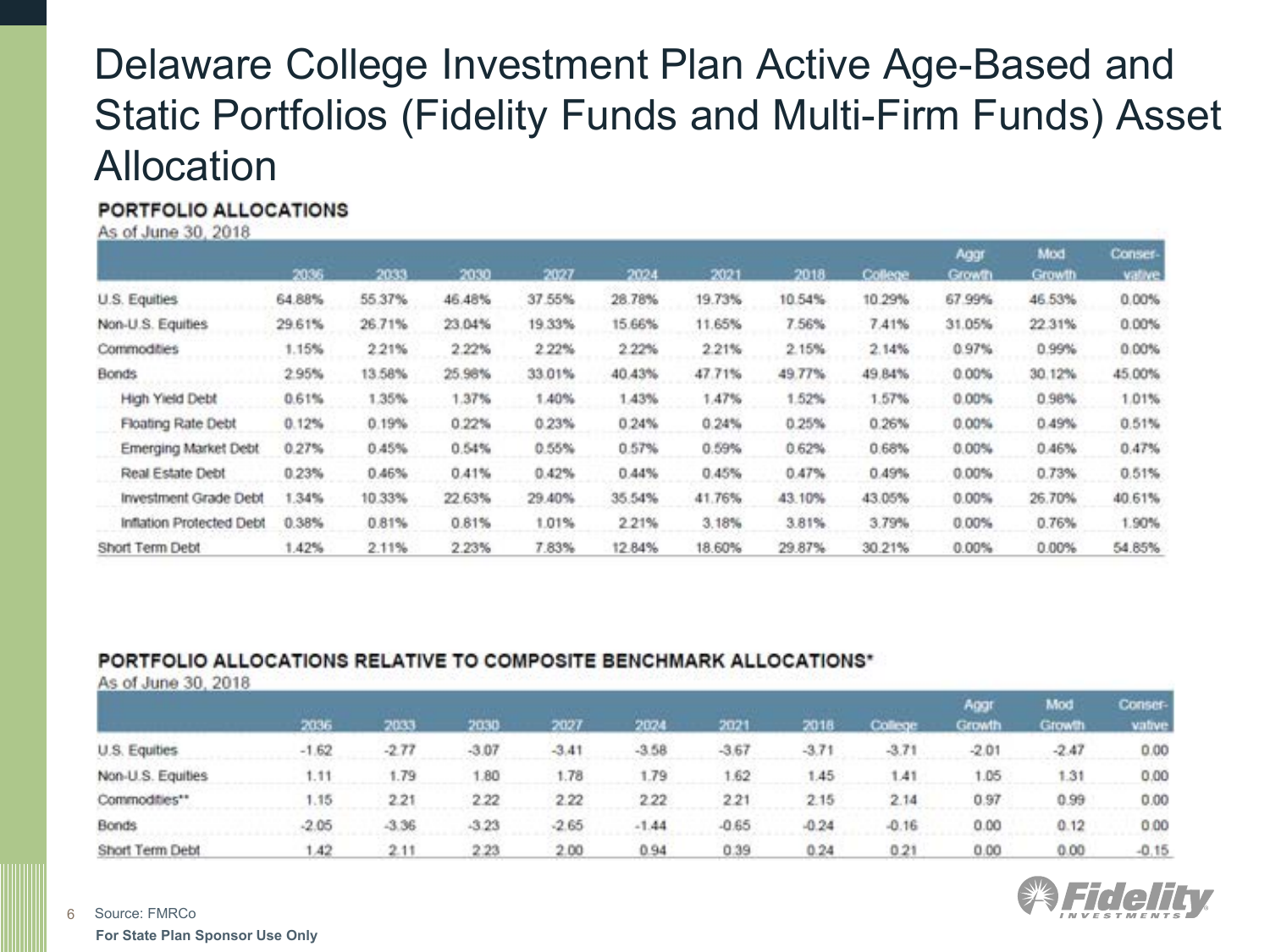## Delaware College Investment Plan Active Age-Based and Static Portfolios (Fidelity Funds and Multi-Firm Funds) Asset Allocation

#### PORTFOLIO ALLOCATIONS

As of June 30, 2018

|                          |        |        |        |        |        |        |        |         | Aggr          | Mod           | Conser- |
|--------------------------|--------|--------|--------|--------|--------|--------|--------|---------|---------------|---------------|---------|
|                          | 2036   | 2033   | 2030   | 2027   | 2024   | 2021   | 2018   | College | <b>Growth</b> | <b>Growth</b> | vative  |
| U.S. Equities            | 64.88% | 55.37% | 46.48% | 37.55% | 28.78% | 19.73% | 10.54% | 10.29%  | 67.99%        | 46.53%        | 0.00%   |
| Non-U.S. Equities        | 29.61% | 26.71% | 23.04% | 19.33% | 15.66% | 11.65% | 7.56%  | 7.41%   | 31.05%        | 22.31%        | 0.00%   |
| Commodities              | 1.15%  | 2.21%  | 2.22%  | 2 2 2% | 2.22%  | 2.21%  | 2.15%  | 2.14%   | 0.97%         | 0.99%         | 0.00%   |
| <b>Bonds</b>             | 2.95%  | 13.58% | 25.98% | 33.01% | 40.43% | 47.71% | 49.77% | 49.84%  | 0.00%         | 30.12%        | 45,00%  |
| High Yield Debt          | 0.61%  | 1.35%  | 1.37%  | 1.40%  | 1.43%  | 1.47%  | 1.52%  | 1.57%   | $0.00\%$      | 0.98%         | 1.01%   |
| Floating Rate Debt       | 0.12%  | 0.19%  | 0.22%  | 0.23%  | 0.24%  | 0.24%  | 0.25%  | 0.26%   | $0.00\%$      | 0.49%         | 0.51%   |
| Emerging Market Debt     | 0.27%  | 0.45%  | 0.54%  | 0.55%  | 0.57%  | 0.59%  | 0.62%  | 0.68%   | $0.00\%$      | 0.46%         | 0.47%   |
| Real Estate Debt         | 0.23%  | 0.46%  | 0.41%  | 0.42%  | 0.44%  | 0.45%  | 0.47%  | 0.49%   | $0.00\%$      | 0.73%         | 0.51%   |
| Investment Grade Debt    | 1.34%  | 10.33% | 22.63% | 29.40% | 35.54% | 41.76% | 43.10% | 43.05%  | 0.00%         | 26.70%        | 40.61%  |
| Inflation Protected Debt | 0.38%  | 0.81%  | 0.81%  | 1.01%  | 2.21%  | 3.18%  | 3.81%  | 3.79%   | 0.00%         | 0.76%         | 1.90%   |
| Short Term Debt          | .42%   | 2.11%  | 2.23%  | 7.83%  | 12.84% | 18.60% | 29.87% | 30.21%  | 0.00%         | 0.00%         | 54.85%  |

### PORTFOLIO ALLOCATIONS RELATIVE TO COMPOSITE BENCHMARK ALLOCATIONS\*

As of June 30, 2018

|                   |         |         |         |         |         |         |         |         | Aggr          | Mod     | Conser- |  |
|-------------------|---------|---------|---------|---------|---------|---------|---------|---------|---------------|---------|---------|--|
|                   | 2036    | 7033    | 2030    | 2027    | 2024    | 2021    | 2018    | College | <b>Growth</b> | Growth  | vative  |  |
| U.S. Equities     | $-1.62$ | $-2.77$ | $-3.07$ | $-3.41$ | $-3.58$ | $-3.67$ | $-3.71$ | $-3.71$ | $-2.01$       | $-2.47$ | 0.00    |  |
| Non-U.S. Equities | 4.11    | 1.79    | .80     | 1.78    | 1.79    | 1.62    | 45      | 1.41    | 1.05          | 1.31    | 0.00    |  |
| Commodities**     | 1.15    | 2.21    | 2.22    | 2.22    | 2.22    | 221     | 2.15    | 2.14    | 0.97          | 0.99    | 0.00    |  |
| Bonds             | $-2.05$ | $-3.36$ | $-3.23$ | $-2.65$ | $-1.44$ | $-0.65$ | $-0.24$ | $-0.16$ | 0.00          | 0.12    | 0.00    |  |
| Short Term Debt   | .42     | 2.11    | 2.23    | 2.00    | 0.94    | 0.39    | 0.24    | 0.21    | 0.00          | 0.00    | $-0.15$ |  |



**For State Plan Sponsor Use Only** Source: FMRCo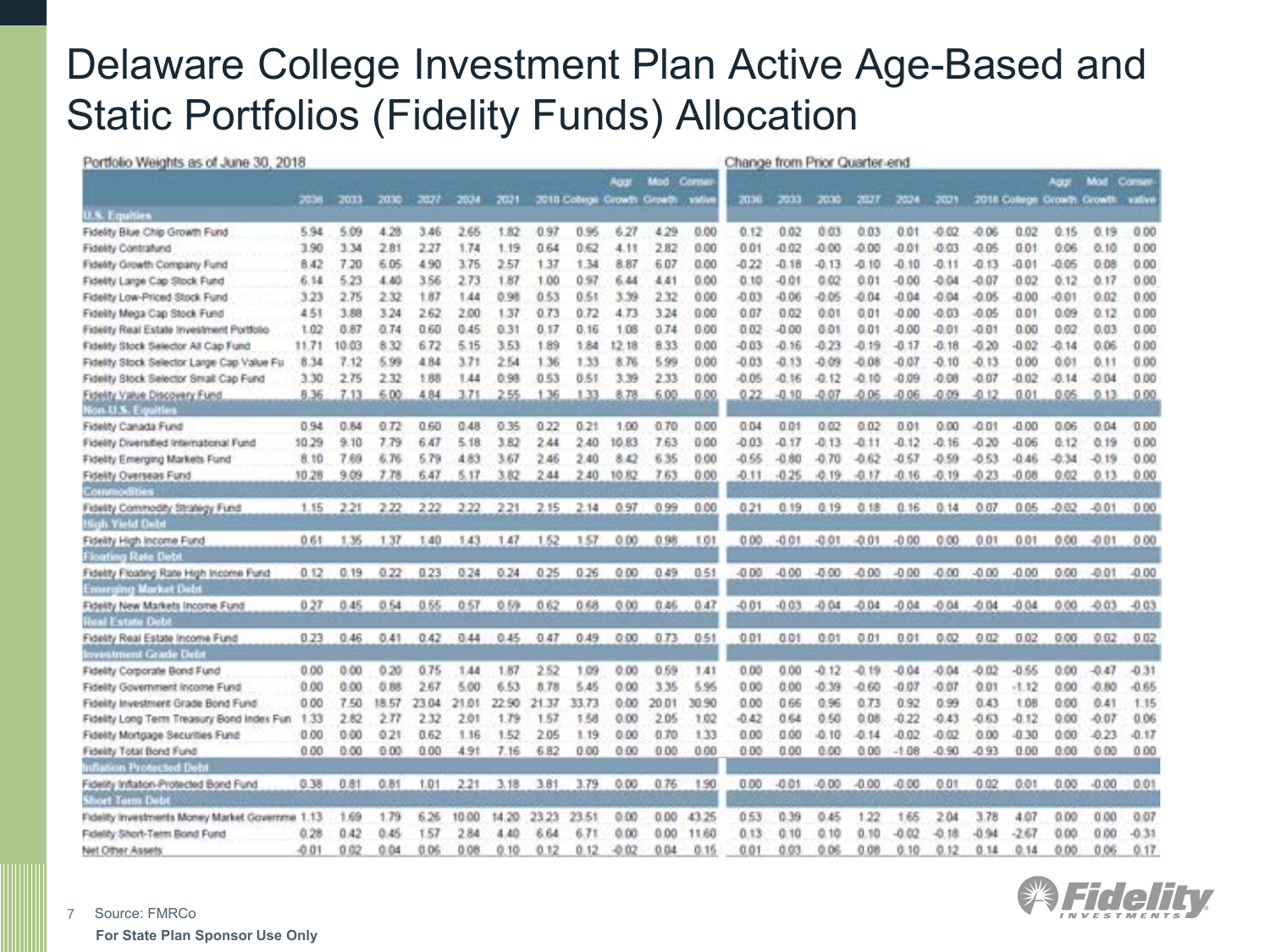## Delaware College Investment Plan Active Age-Based and Static Portfolios (Fidelity Funds) Allocation

| Portfolio Weights as of June 30, 2018                                  |         |       |       |       |       |       |       |       |         |                           |        | Change from Prior Quarter-end |           |         |         |         |         |         |                            |          |         |         |
|------------------------------------------------------------------------|---------|-------|-------|-------|-------|-------|-------|-------|---------|---------------------------|--------|-------------------------------|-----------|---------|---------|---------|---------|---------|----------------------------|----------|---------|---------|
|                                                                        |         |       |       |       |       |       |       |       | Aug     | Mod Come                  |        |                               |           |         |         |         |         |         |                            | Acro     | Mod     | Corse   |
| <b>U.S. Equities</b>                                                   | 7036    | 2033  | 2030  | 2027  | 2024  | 2021  |       |       |         | 2018 Colege Growth Growth | vative | 2030                          | -2033     | 2030    | 2027    | 2024    | 2021    |         | 2018 College Growth Growth |          |         | vative  |
| Fidelity Blue Chip Growth Fund                                         | 5.94    | 5.09  | 4.28  | 3.46  | 2.65  | 1.82  | 0.97  | 0.95  | 6.27    | 4.29                      | 0.00   | 0.12                          | 0.02      | 0.03    | 0.03    | 0.01    | $-0.02$ | $-0.06$ | 0.02                       | 0.15     | 0.19    | 0.00    |
| Fidelity Contratund                                                    | 3.90    | 3.34  | 2.81  | 2.27  | 1.74  | 1.19  | 0.64  | 0.62  | 4.11    | 2.82                      | 0.00   | 0.01                          | $-0.02$   | 0.00    | $-0.00$ | $-0.01$ | 0.03    | $-0.05$ | 0.01                       | 0.06     | 0.10    | 0.00    |
| Fidelity Growth Company Fund                                           | 8.42    | 7.20  | 6.05  | 4.90  | 3.75  | 2.57  | 1.37  | 1.34  | 8.87    | 6.07                      | 0.00   | $-0.22$                       | $-0.18$   | $-0.13$ | $-0.10$ | $-0.10$ | $-0.11$ | $-0.13$ | $-0.01$                    | $-0.06$  | 0.08    | 0.00    |
| Fidelity Large Cap Stock Fund                                          | 6.14    | 5.23  | 4.40  | 3.56  | 2.73  | 1.87  | 1.00  | 0.97  | 6.44    | 4.41                      | 0.00   | 0.10                          | $-0.01$   | 0.02    | 0.01    | $-0.00$ | 40.04   | $-0.07$ | 0.02                       | 0.12     | 0.17    | 0.00    |
| Fidelity Low-Priced Stock Fund                                         | 3.23    | 2.76  | 232   | 1.87  | 1.44  | 0.98  | 0.53  | 0.61  | 3.39    | 2.32                      | 0.00   | $-0.03$                       | $-0.06$   | $-0.05$ | 0.04    | $-0.04$ | $-0.04$ | $-0.05$ | 0.00                       | $-0.01$  | 0.02    | 0.00    |
| Fidelity Mega Cap Stock Fund                                           | 4.51    | 3.88  | 3.24  | 2.62  | 2.00  | 1.37  | 0.73  | 0.72  | 4.73    | 3.24                      | 0.00   | 0.07                          | 0.02      | 0.01    | 0.01    | $-0.00$ | $-0.03$ | $-0.05$ | 0.01                       | 0.09     | 0.12    | 0.00    |
| Fidelity Real Estate Investment Portfolio                              | 1.02    | 0.87  | 0.74  | 0.60  | 0.45  | 0.31  | 0.17  | 0.16  | 1.08    | 0.74                      | 0.00   | 0.02                          | $-0.00$   | 0.01    | 0.01    | $-0.00$ | $-0.01$ | $-0.01$ | 0.00                       | 0.02     | 0.03    | 0.00    |
| Fidelity Stock Selector All Cap Fund                                   | 11.71   | 10.03 | 8.32  | 6.72  | 5.15  | 3.53  | 1.89  | 1.84  | 12.18   | 8.33                      | 0.00   | $-0.03$                       | $-0.16$   | $-0.23$ | $-0.19$ | $-0.17$ | $-0.18$ | $-0.20$ | $-0.02$                    | $-0.14$  | 0.06    | 0.00    |
| Fidelity Stock Selector Large Cap Value Fu                             | 8.34    | 7.12  | 5.99  | 4.84  | 3.71  | 2.54  | 1.36  | 1.33  | 言下      | 5.99                      | 0.00   | $-0.03$                       | $-0.13$   | $-0.09$ | $-0.08$ | $-0.07$ | $-0.10$ | $-0.13$ | 0.00                       | 0.01     | 0.11    | 0.00    |
| Fidelity Stock Selector Small Cap Fund                                 | 3.30    | 2.75  | 2.32  | 1.88  | 1.44  | 0.98  | 0.53  | 0.51  | 3.39    | 2.33                      | 0.00   | $-0.05$                       | -0.<br>16 | $-0.12$ | $-0.10$ | $-0.09$ | $-0.08$ | $-0.07$ | $-0.02$                    | $-0.14$  | $-0.04$ | 0.00    |
| Fidelity Value Discovery Fund                                          | 8.36    | 7.13  | 6.00  | 484   | 3.71  | 2.55  | 1.36  | 1.33  | 8.78    | 6.00                      | 0.00   | 0.22                          | $-0.10$   | $-0.07$ | $-0.06$ | $-0.06$ | $-0.09$ | $-0.12$ | 0.01                       | $0.05 -$ | 0.13    | 0.00    |
| <b>Non-U.S. Equities</b>                                               |         |       |       |       |       |       |       |       |         |                           |        |                               |           |         |         |         |         |         |                            |          |         |         |
| Fidelity Canada Fund                                                   | 0.94    | 0.84  | 0.72  | 0.60  | 0.48  | 0.35  | 0.22  | 0.21  | 1.00    | 0.70                      | 0.00   | 0.04                          | 0.01      | 0.02    | 0.02    | 0.01    | 0.00    | $-0.01$ | $-0.00$                    | 0.06     | 0.04    | 0.00    |
| Fidelity Diversified International Fund                                | 10.29   | 9.10  | 7.79  | 6.47  | 5.18  | 3.82  | 2.44  | 2.40  | 10.83   | 7.63                      | 0.00   | $-0.03$                       | $-0.17$   | $-0.13$ | $-0.11$ | $-0.12$ | $-0.16$ | $-0.20$ | $-0.06$                    | 0.12     | 0.19    | 0.00    |
| Fidelity Emerging Markets Fund                                         | 8.10    | 7.69  | 6.76  | 5.79  | 4.83  | 3.67  | 2.46  | 2.40  | 8.42    | 6.35                      | 0.00   | $-0.55$                       | $-0.80$   | $-0.70$ | $-0.62$ | $-0.57$ | $-0.59$ | $-0.53$ | $-0.46$                    | $-0.34$  | $-0.19$ | 0.00    |
| Fidelity Overseas Fund                                                 | 10.28   | 9,09  | 7.78  | 6.47  | 5.17  | 3.82  | 2.44  | 2.40  | 10.82   | 7.63                      | 0.00   | $-0.11$                       | $-0.25$   | $-0.19$ | $-0.17$ | $-0.16$ | $-0.19$ | $-0.23$ | $-0.08$                    | 0.02     | 0.13    | 0.00    |
| <b>Commoditie</b>                                                      |         |       |       |       |       |       |       |       |         |                           |        |                               |           |         |         |         |         |         |                            |          |         |         |
| Fidelity Commodity Strategy Fund<br><b>High Yield Deb</b>              | 1.15    | 2.21  | 2.22  | 2.22  | 2.22  | 2.21  | 2.15  | 2.14  | 0.97    | 0.99                      | 0.00   | 0.21                          | 0.19      | 0.19    | 0.18    | 0.16    | 0.14    | 0.07    | 0.05                       | $-0.02$  | $-0.01$ | 0.00    |
| Fidelity High Income Fund<br><b>Floating Rate Debt</b>                 | 0.61    | 1.36  | 1.37  | 1.40  | 1.43  | 1.47  | 1.52  | 1.57  | 0.00    | 0.98                      | 1,01   | 0.00                          | $-0.01$   | $-0.01$ | $-0.01$ | $-0.00$ | 0.00    | 0.01    | 0.01                       | 0.00.    | $-0.01$ | 0.00    |
| Fidelity Floating Rate High Income Fund<br><b>Emerging Market Debt</b> | 0.12    | 0.19  | 0.22  | 0.23  | 0.24  | 0.24  | 0.25  | 0.26  | 0.00    | 0.49                      | 0.51   | $-0.00$                       | $-0.00$   | $-0.00$ | $-0.00$ | $-0.00$ | $-0.00$ | $-0.00$ | $-0.00$                    | 0.00     | $-0.01$ | $-0.00$ |
| Fidelity New Markets Income Fund                                       | 0.27    | 0.45  | 0.54  | 0.55  | 0.57  | 0.59  | 0.62  | 0.68  | 0.00    | 0.46                      | 0.47   | $-0.01$                       | $-0.03$   | $-0.04$ | $-0.04$ | $-0.04$ | $-0.04$ | $-0.04$ | $-0.04$                    | 0.00     | $-0.03$ | $-0.03$ |
| <b>Real Estate Debi</b>                                                |         |       |       |       |       |       |       |       |         |                           |        |                               |           |         |         |         |         |         |                            |          |         |         |
| Fidelity Real Estate Income Fund<br><b>Inventment Grade Debt</b>       | 0.23    | 0.46  | 0.41  | 0.42  | 0.44  | 0.45  | 0.47  | 0.49  | 0.00    | 0.73                      | 0.51   | 0.01                          | 0.01      | 0.01    | 0.01    | 0.01    | 0.02    | 0.02    | 0.02                       | 0.00     | 0.02    | 0.02    |
| Fidelity Corporate Bond Fund                                           | 0.00    | 0.00  | 0.20  | 0.75  | 1.44  | 1.87  | 2.52  | 1.09  | 0.00    | 0.59                      | 1.41   | 0.00                          | 0.00      | $-0.12$ | $-0.19$ | $-0.04$ | $-0.04$ | $-0.02$ | -0.55                      | 0.00     | $-0.47$ | $-0.31$ |
| Fidelity Government Income Fund                                        | 0.00    | 0.00  | 0.88  | 2.67  | 5.00  | 6.53  | 8.78  | 5.45  | 0.00    | 3.35                      | 5.95   | 0.00                          | 0.00      | $-0.39$ | $-0.60$ | $-0.07$ | $-0.07$ | 0.01    | $-1.12$                    | 0.00     | $-0.80$ | $-0.65$ |
| Fidelity Investment Grade Bond Fund                                    | 0.00    | 7.50  | 18.57 | 23.04 | 21.01 | 22.90 | 21.37 | 33.73 | 0.00    | 20.01                     | 30.90  | 0.00                          | 0.66      | 0.96    | 0.73    | 0.92    | 0.99    | 0.43    | 1.08                       | 0.00     | 0.41    | 1:15    |
| Fidelity Long Term Treasury Bond Index Fun                             | 1.33    | 2.82  | 2.77  | 2.32  | 2.01  | 1.79  | 1.57  | 1.58  | 0.00    | 2.05                      | 1.02   | 0.42                          | 0.64      | 0.50    | 0.08    | $-0.22$ | $-0.43$ | $-0.63$ | $-0.12$                    | 0.00     | $-0.07$ | 0.06    |
| Fidelity Mortgage Securities Fund                                      | 0.00    | 0.00  | 0.21  | 0.62  | 1.16  | 1.52  | 2.05  | 1.19  | 0.00    | 0.70                      | 1.33   | 0.00                          | 0.00      | $-0.10$ | 0.14    | $-0.02$ | $-0.02$ | 0.00    | $-0.30$                    | 0.00     | $-0.23$ | $-0.17$ |
| Fidelity Total Bond Fund                                               | 0.00    | 0.00  | 0.00  | 0.00  | 4.91  | 7.16  | 6.82  | 0.00  | 0.00    | 0.00                      | 0.00   | 0.00                          | 0.00      | 0.00    | 0.00    | $-1.08$ | $-0.90$ | $-0.93$ | 0.00                       | 0.00     | 0.00    | 0.00    |
| Inflation Protected Debt                                               |         |       |       |       |       |       |       |       |         |                           |        |                               |           |         |         |         |         |         |                            |          |         |         |
| Fidelity Inflation-Protected Bond Fund<br><b>Short Term Debt</b>       | 0.38    | 0.81  | 0.81  | 1.01  | 221   | 3.18  | 3.81  | 3.79  | 0.00    | 0.76                      | 1.90   | 0.00                          | $-0.01$   | $-0.00$ | $-0.00$ | $-0.00$ | 0.01    | 0.02    | 0.01                       | 0.00     | $-0.00$ | 0.01    |
| Fidelity Investments Money Market Governme 1.13                        |         | 1.69  | 1.79  | 6.26  | 10.00 | 14.20 | 23.23 | 23.51 | 0.00    | 0.00                      | 43.25  | 0.53                          | 0.39      | 0.45    | 1.22    | 1.65    | 2.04    | 3.78    | 4.07                       | 0.00     | 0.00    | 0.07    |
| Fidelity Short-Term Bond Fund                                          | 0.28    | 0.42  | 0.45  | 1.57  | 2.84  | 4.40  | 6.64  | 6.71  | 0.00    | 0.00                      | 11.60  | 0.13                          | 0.10      | 0.10    | 0.10    | $-0.02$ | $-0.18$ | $-0.94$ | $-2.67$                    | 0.00     | 0.00    | $-0.31$ |
| Net Other Assets                                                       | $-0.01$ | 0.02  | 0.04  | 0.06  | 0.08  | 0.10  | 0.12  | 0.12  | $-0.02$ | 0.04                      | 0.16   | 0.01                          | 0.03      | 0.06    | 0.08    | 0.10    | 0.12    | 0.14    | 0.14                       | 0.00     | 0.06    | 0.17    |

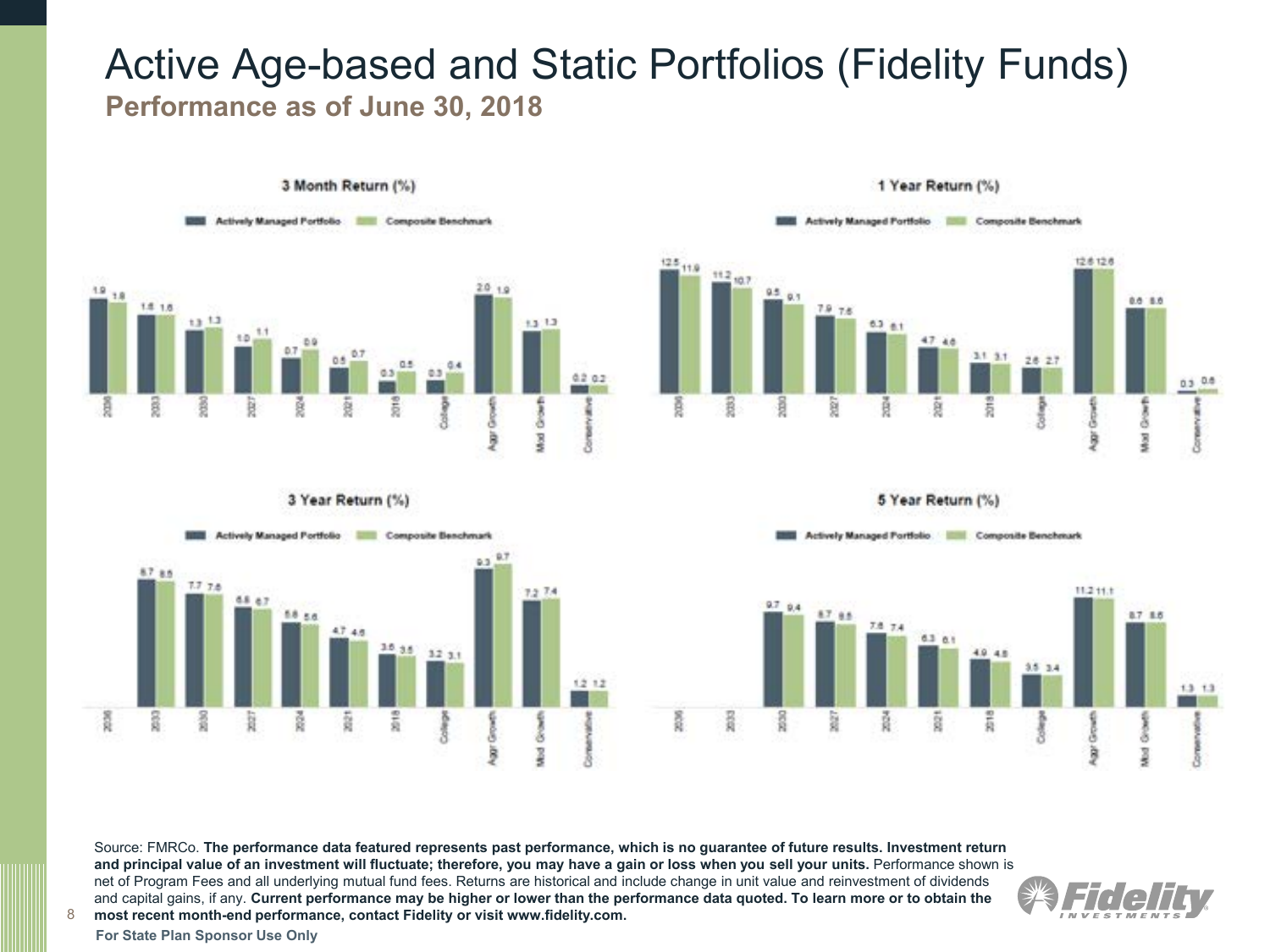## Active Age-based and Static Portfolios (Fidelity Funds) **Performance as of June 30, 2018**





#### 3 Year Return (%)



#### 5 Year Return (%) Actively Managed Portfolio **Managed Benchmark**



Source: FMRCo. **The performance data featured represents past performance, which is no guarantee of future results. Investment return and principal value of an investment will fluctuate; therefore, you may have a gain or loss when you sell your units.** Performance shown is net of Program Fees and all underlying mutual fund fees. Returns are historical and include change in unit value and reinvestment of dividends and capital gains, if any. **Current performance may be higher or lower than the performance data quoted. To learn more or to obtain the most recent month-end performance, contact Fidelity or visit www.fidelity.com.** 



**For State Plan Sponsor Use Only**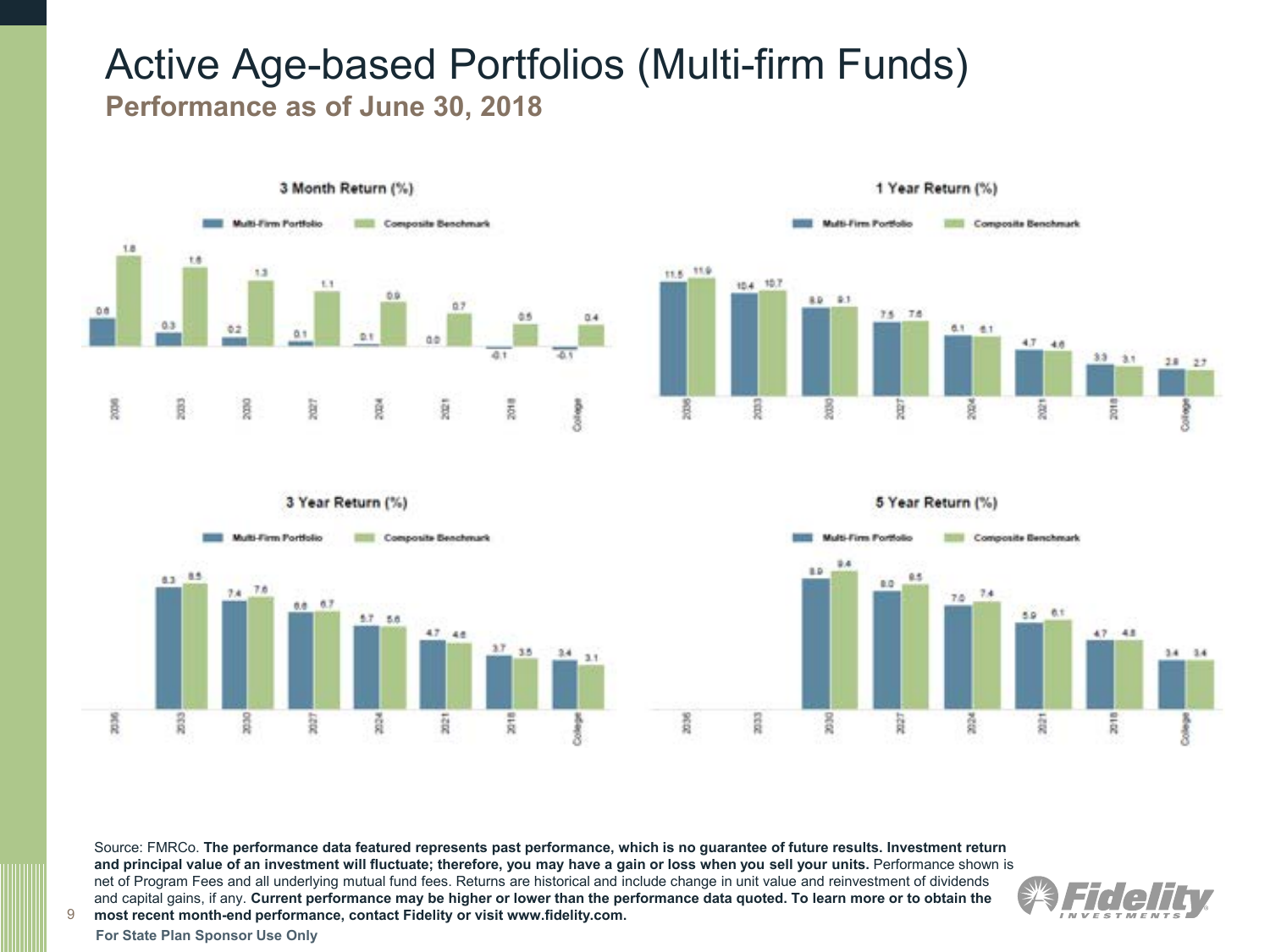## Active Age-based Portfolios (Multi-firm Funds) **Performance as of June 30, 2018**











Source: FMRCo. **The performance data featured represents past performance, which is no guarantee of future results. Investment return and principal value of an investment will fluctuate; therefore, you may have a gain or loss when you sell your units.** Performance shown is net of Program Fees and all underlying mutual fund fees. Returns are historical and include change in unit value and reinvestment of dividends and capital gains, if any. **Current performance may be higher or lower than the performance data quoted. To learn more or to obtain the most recent month-end performance, contact Fidelity or visit www.fidelity.com.** 

**For State Plan Sponsor Use Only**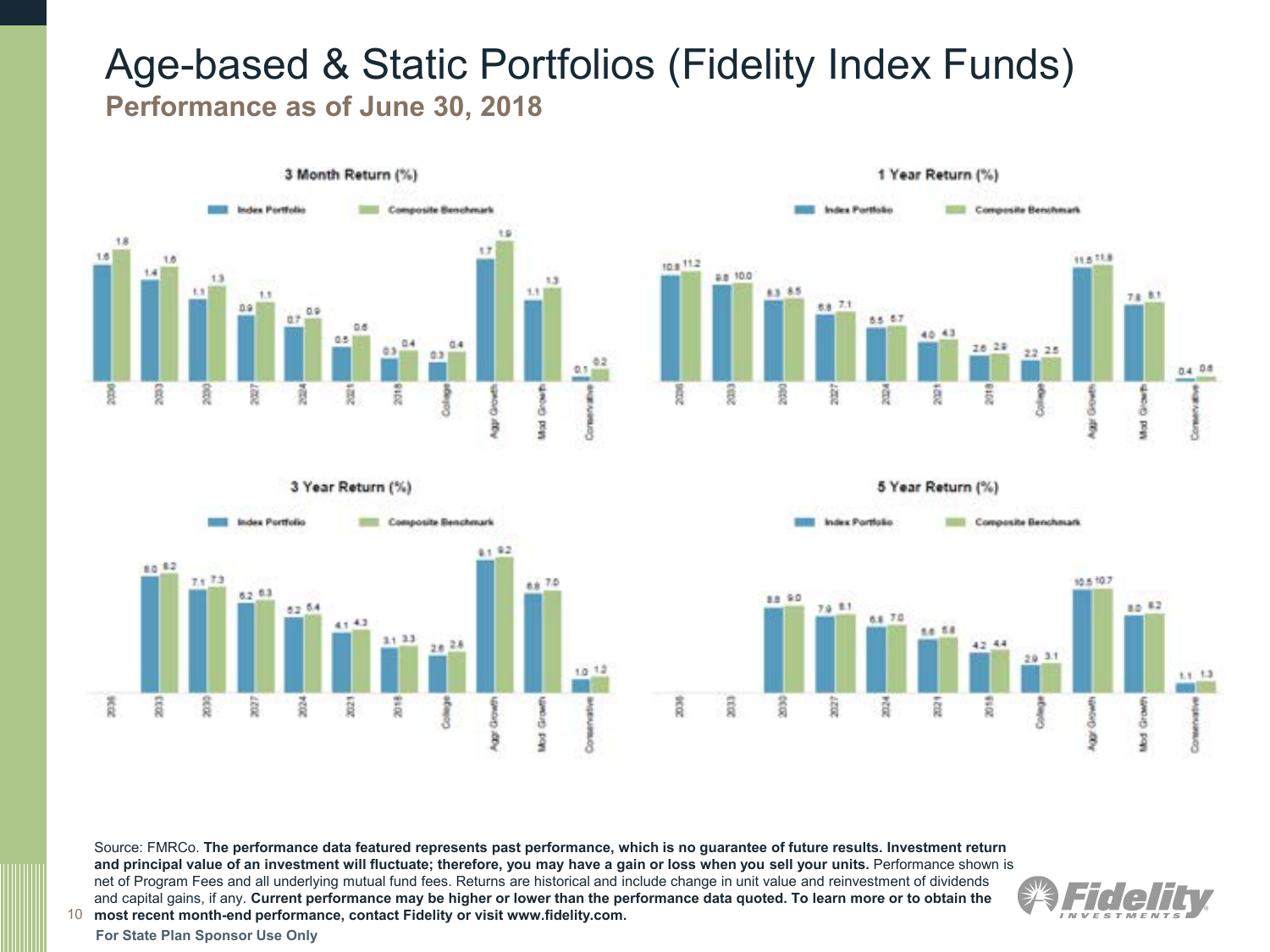## Age-based & Static Portfolios (Fidelity Index Funds) **Performance as of June 30, 2018**









10 **most recent month-end performance, contact Fidelity or visit www.fidelity.com.** Source: FMRCo. **The performance data featured represents past performance, which is no guarantee of future results. Investment return and principal value of an investment will fluctuate; therefore, you may have a gain or loss when you sell your units.** Performance shown is net of Program Fees and all underlying mutual fund fees. Returns are historical and include change in unit value and reinvestment of dividends and capital gains, if any. **Current performance may be higher or lower than the performance data quoted. To learn more or to obtain the** 

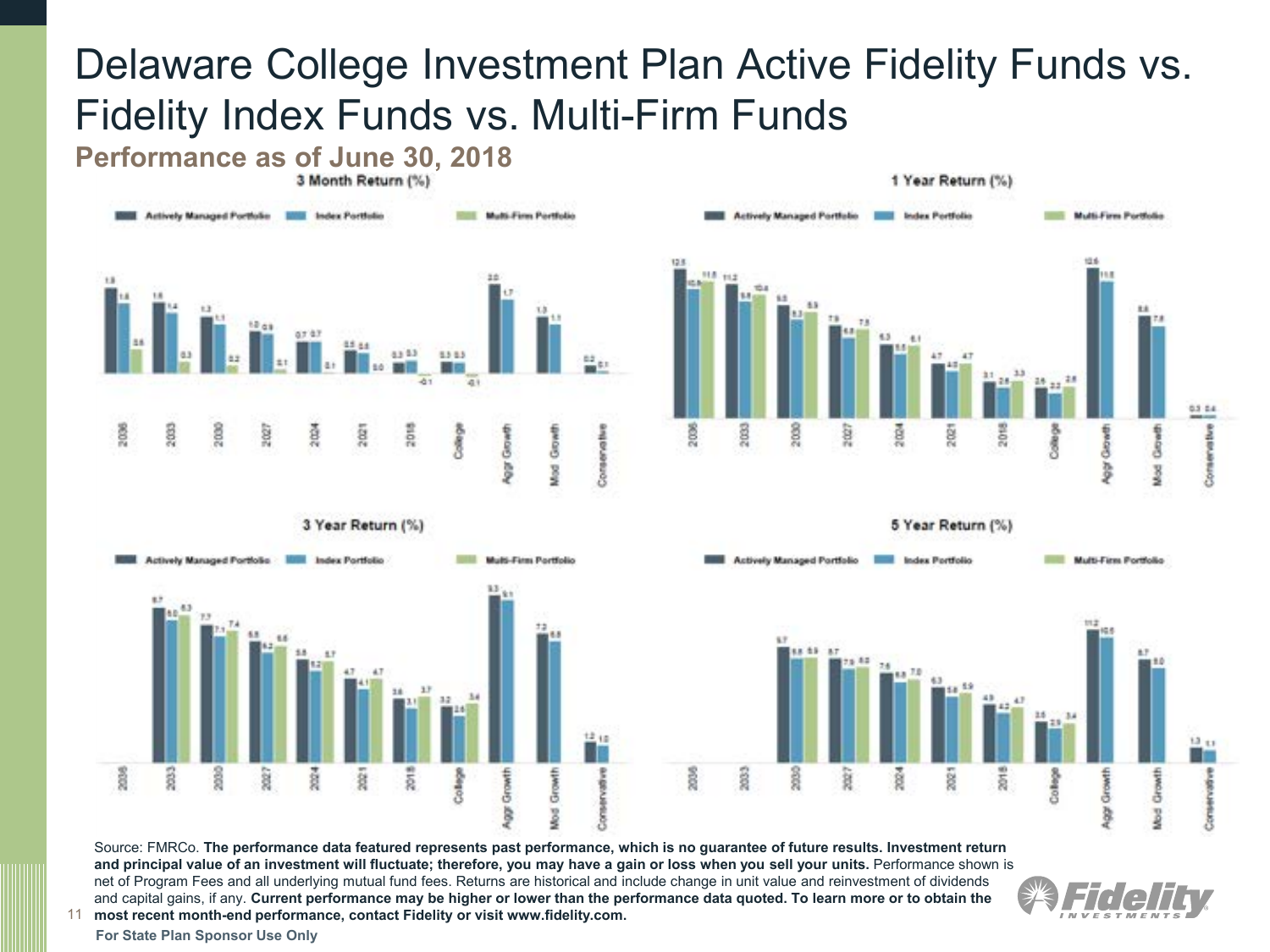## Delaware College Investment Plan Active Fidelity Funds vs. Fidelity Index Funds vs. Multi-Firm Funds

**Performance as of June 30, 2018** 









5 Year Return (%)



11 **most recent month-end performance, contact Fidelity or visit www.fidelity.com.**  Source: FMRCo. **The performance data featured represents past performance, which is no guarantee of future results. Investment return and principal value of an investment will fluctuate; therefore, you may have a gain or loss when you sell your units.** Performance shown is net of Program Fees and all underlying mutual fund fees. Returns are historical and include change in unit value and reinvestment of dividends and capital gains, if any. **Current performance may be higher or lower than the performance data quoted. To learn more or to obtain the** 

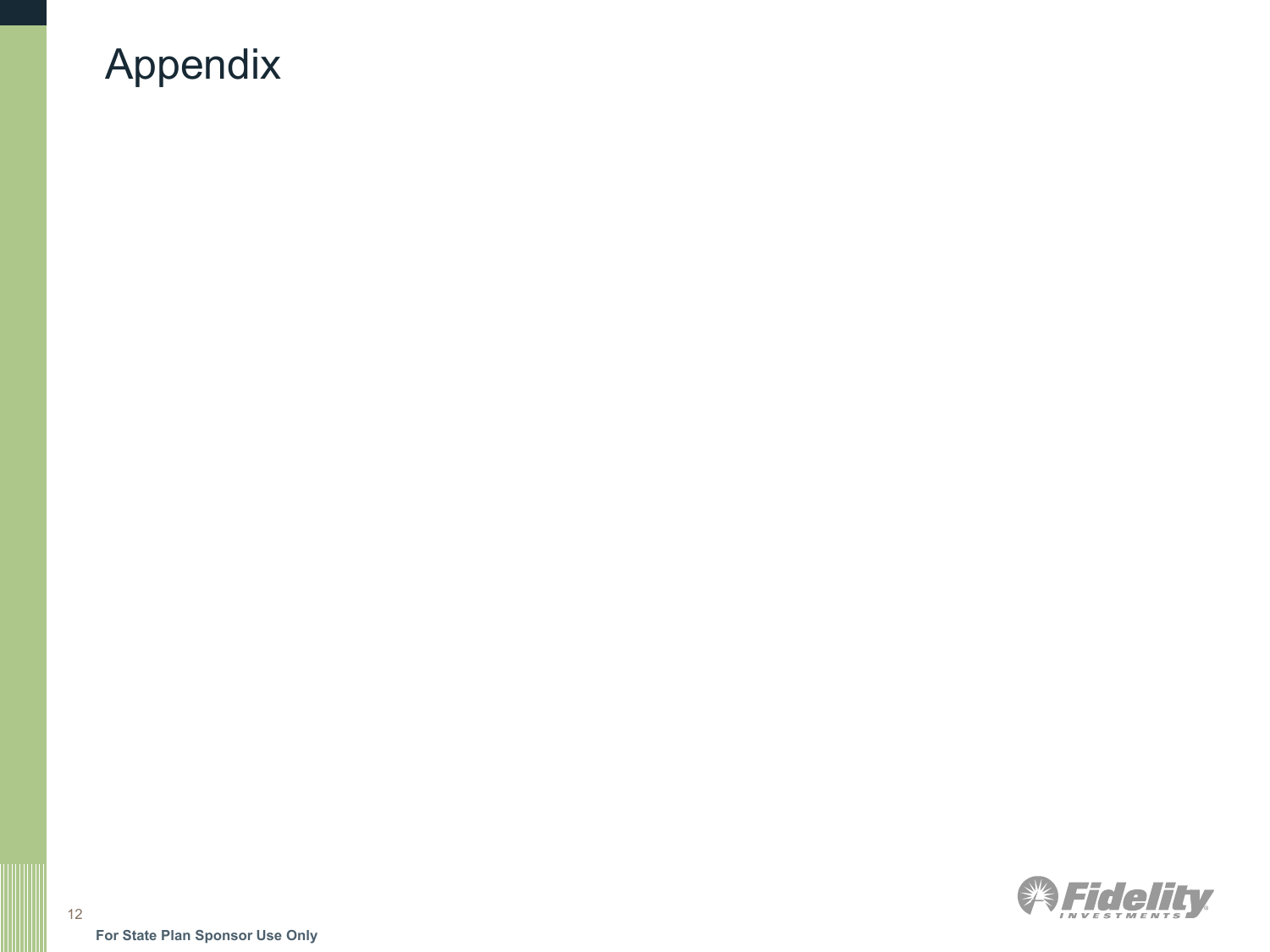## Appendix

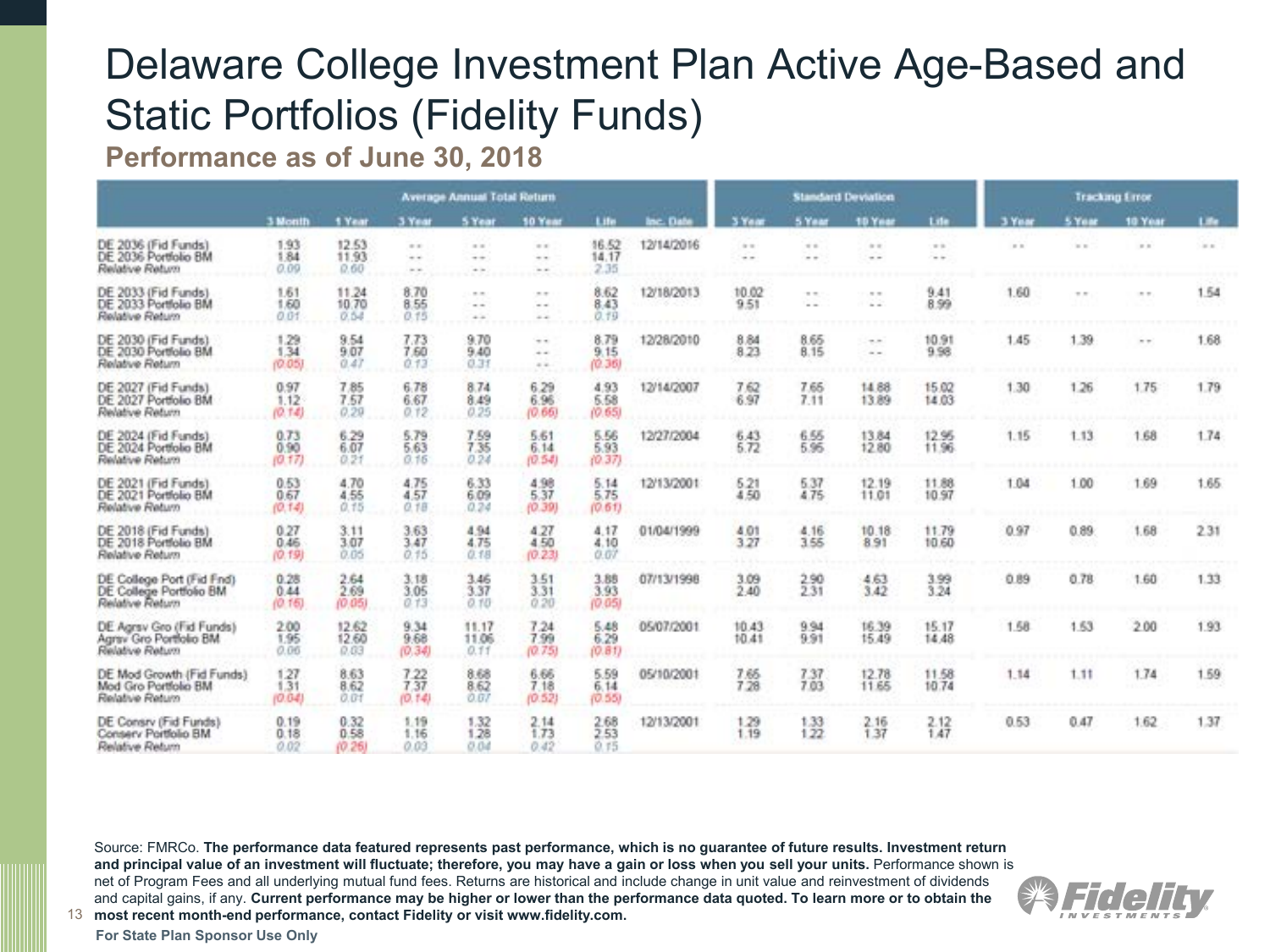# Delaware College Investment Plan Active Age-Based and Static Portfolios (Fidelity Funds)

**Performance as of June 30, 2018**

|                                                                         |                        |                        |                        | <b>Average Annual Total Return</b> |                         |                        |            |                     |                 | <b>Standard Deviation</b>      |                | <b>Tracking Error</b> |          |            |       |  |
|-------------------------------------------------------------------------|------------------------|------------------------|------------------------|------------------------------------|-------------------------|------------------------|------------|---------------------|-----------------|--------------------------------|----------------|-----------------------|----------|------------|-------|--|
|                                                                         | 3 Month                | 1 Year                 | 3 Year                 | 5 Year                             | <b>50 Year</b>          | Life                   | Inc. Date  | 3 Yan               | 5 Year          | 10 Year                        | Life           | 3 Year                | 5 Year   | 10 Year    | Life: |  |
| DE 2036 (Fid Funds)<br>DE 2036 Portfolio BM<br>Relative Return          | 1.93<br>1.84<br>0.09   | 12.53<br>11.93<br>0.60 | $-11$<br>$-1$<br>- -   | $= 1$<br>$-1$<br>$+1$              | $\sim$<br>$-1$<br>$-1$  | 16.52<br>14.17<br>2.35 | 12/14/2016 | $\approx$<br>$\sim$ | $= -1$<br>$= -$ | 17.17<br>$\sim$                | $= 1$<br>$-1$  | $=$ $+$               | $=$ $-$  | $=$ $+$    | $=$   |  |
| DE 2033 (Fid Funds)<br>DE 2033 Portfolio BM<br>Relative Return          | 1.61<br>1.60<br>0.01   | 11.24<br>10.70<br>0.54 | 8.70<br>8.55<br>0.15   | <br>$\sim$ $\sim$<br>$+1$          | <br>$-1$<br>$-11.1$     | 8.62<br>8.43<br>0.79   | 12/18/2013 | 10.02<br>9.51       |                 | $\sim$ $\sim$<br>$\sim$ $\sim$ | 9.41<br>8.99   | 1.60                  | $\cdots$ | $\sim$ $-$ | 1.54  |  |
| DE 2030 (Fid Funds)<br>DE 2030 Portfolio BM<br>Relative Return          | 1.29<br>1.34<br>(0.05) | 9.54<br>9.07<br>0.47   | 7.73<br>7.60<br>0.13   | 9.70<br>9.40<br>0.31               | $-1$<br>$+ -$<br>$= -1$ | 8.79<br>9.15<br>(0.36) | 12/28/2010 | 8.84<br>8.23        | 8.65<br>8.15    | 4.81<br>$\sim$ $-$             | 10.91<br>9.98  | 1.45                  | 1.39     | $n - 1$    | 1.68  |  |
| DE 2027 (Fid Funds)<br>DE 2027 Portfolio BM<br>Relative Return          | 0.97<br>1.12<br>(0.14) | 7.85<br>7.57<br>0.29   | 6.78<br>6.67<br>0.12   | 8.74<br>8.49<br>0.25               | 6.29<br>6.96<br>(0.66)  | 4.93<br>5.58<br>(0.65) | 12/14/2007 | $7.62$<br>6.97      | 7.65<br>7.11    | 14.88<br>13.89                 | 15.02<br>14.03 | 1.30                  | 1.26     | 1.75       | 1.79  |  |
| DE 2024 (Fid Funds)<br>DE 2024 Portfolio BM<br>Relative Return          | 0.73<br>0.90<br>(0.17) | 6.29<br>6.07<br>0.21   | 5.79<br>5.63<br>0.16   | 7.59<br>7.35<br>0.24               | 5.61<br>6.14<br>(0.54)  | 5.56<br>5.93<br>(0.37) | 12/27/2004 | 6.43<br>6.72        | 6.55<br>5.95    | 13.84<br>12.80                 | 12.95<br>11.96 | 1.15                  | 1.13     | 1.68       | 1.74  |  |
| DE 2021 (Fid Funds)<br>DE 2021 Portfolio BM<br>Relative Return          | 0.53<br>0.67<br>(0.14) | 4.70<br>4.55<br>0.15   | 4.75<br>4.57<br>0.18   | 6.33<br>6.09<br>0.24               | 4.98<br>5.37<br>(0.39)  | 5.14<br>5.75<br>(0.61) | 12/13/2001 | 5.21<br>4.50        | 5.37<br>4.75    | 12.19<br>11.01                 | 11.88<br>10.97 | 1.04                  | 1.00     | 1.69       | 1.65  |  |
| DE 2018 (Fid Funds)<br>DE 2018 Portfolio BM<br>Relative Return          | 0.27<br>0.46<br>(0.19) | 3.11<br>3.07<br>0.05   | 3.63<br>3.47<br>0.15   | 4.94<br>4.75<br>0.18               | 4.27<br>4.50<br>(0.23)  | 4.17<br>4.10<br>0.07   | 01/04/1999 | 4.01<br>3.27        | 4.16<br>3.55    | 10.18<br>8.91                  | 11.79<br>10.60 | 0.97                  | 0.89.    | 1.68       | 2.31  |  |
| DE College Port (Fid Fnd)<br>DE College Portfolio BM<br>Relative Return | 0.28<br>0.44<br>(0.16) | 2.64<br>2.69<br>(0.05) | 3.18<br>3.05<br>0.13   | 3.46<br>3.37<br>0.10               | 3.51<br>3.31<br>0.20    | 3.88<br>3.93<br>(0.05) | 07/13/1998 | 3.09<br>2.40        | 2.90<br>2.31    | 4.63<br>3.42                   | 3.99<br>3.24   | 0.89                  | 0.78     | 1.60       | 1.33  |  |
| DE Agrsv Gro (Fid Funds)<br>Agrey Gro Portfolio BM<br>Relative Return   | 2.00<br>1.95<br>0.06   | 12.62<br>12.60<br>0.03 | 9.34<br>9.68<br>(0.34) | 11.17<br>11.06<br>0.11             | 7.24<br>7.99<br>(0.75)  | 5.48<br>6.29<br>(0.81) | 05/07/2001 | 10.43<br>10.41      | 9.94<br>9.91    | 16.39<br>15.49                 | 15.17<br>14.48 | 1.58                  | 1.63     | 2.00       | 1.93  |  |
| DE Mod Growth (Fid Funds)<br>Mod Gro Portfolio BM<br>Relative Return    | 127<br>1.31<br>(0.04)  | 8.63<br>8.62<br>0.01   | 7.22<br>7.37<br>(0.14) | 8.68<br>8.62<br>0.07               | 6.66<br>7.18<br>(0.52)  | 5.59<br>6.14<br>(0.55) | 05/10/2001 | 7.66<br>7.28        | 7.37<br>7.03    | 12.78<br>11.65                 | 11.58<br>10.74 | 1.14                  | 1.11     | 1.74       | 1.59  |  |
| DE Consrv (Fid Funds)<br>Conserv Portfolio BM<br>Relative Return        | 0.19<br>0.18<br>0.02   | 0.32<br>0.58<br>(0.26) | 1.19<br>1.16<br>0.03   | 1.32<br>1.28<br>0.04               | 2.14<br>1.73<br>0.42    | 2.68<br>2.53<br>0.75   | 12/13/2001 | 1.29<br>1.19        | 1.33<br>1.22    | 2.16<br>1.37                   | 2.12<br>1.47   | 0.53                  | 0.47     | 1.62       | 1.37  |  |

13 **most recent month-end performance, contact Fidelity or visit www.fidelity.com.**  Source: FMRCo. **The performance data featured represents past performance, which is no guarantee of future results. Investment return and principal value of an investment will fluctuate; therefore, you may have a gain or loss when you sell your units.** Performance shown is net of Program Fees and all underlying mutual fund fees. Returns are historical and include change in unit value and reinvestment of dividends and capital gains, if any. **Current performance may be higher or lower than the performance data quoted. To learn more or to obtain the** 

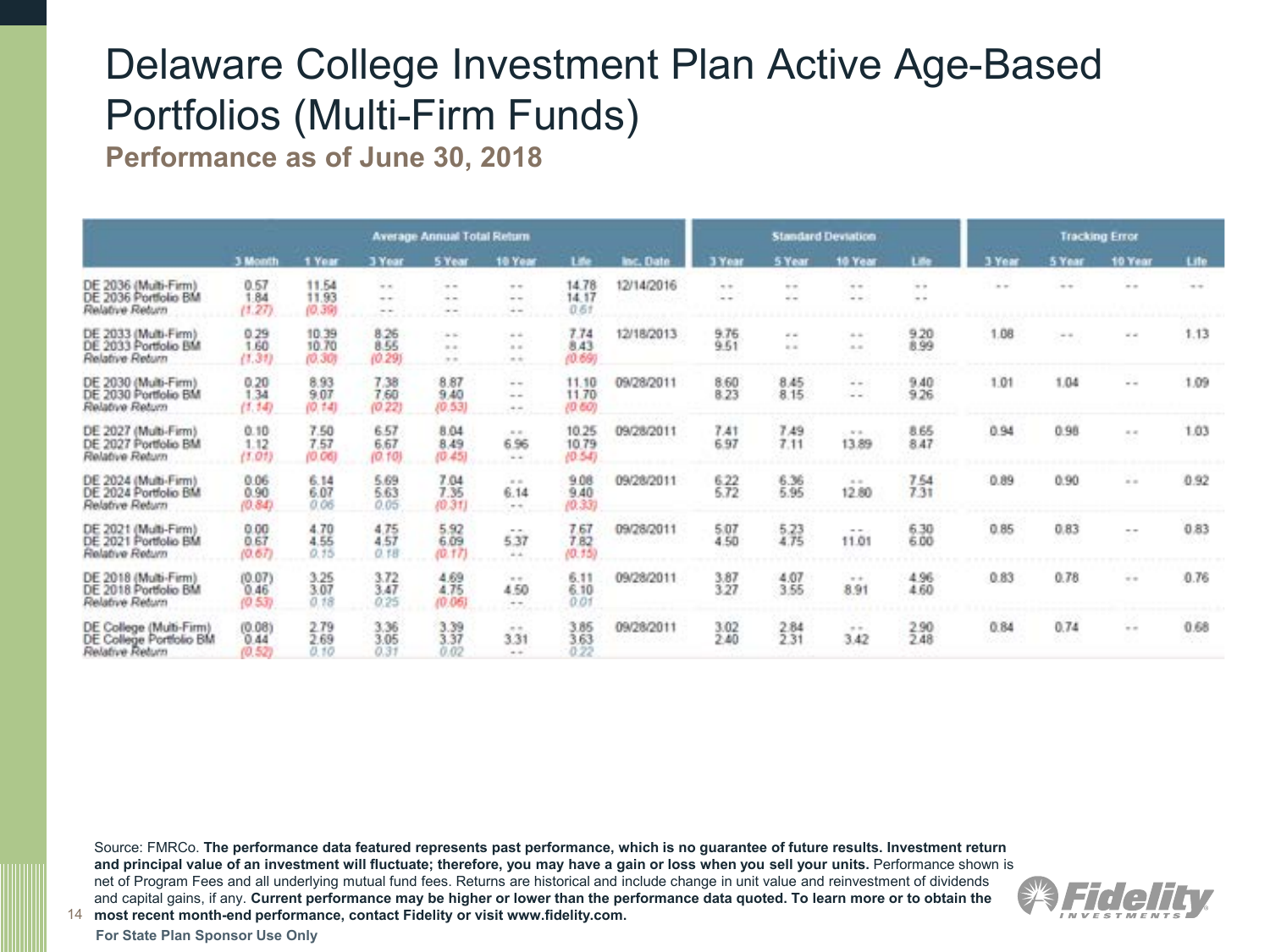# Delaware College Investment Plan Active Age-Based Portfolios (Multi-Firm Funds)

**Performance as of June 30, 2018**

|                                                                       |                                |                          |                        | <b>Average Annual Total Return</b> |                                         |                          |                  |                     |                     | <b>Standard Deviation</b>                                                                                  |              | <b>Tracking Error</b> |            |               |                                                                     |  |
|-----------------------------------------------------------------------|--------------------------------|--------------------------|------------------------|------------------------------------|-----------------------------------------|--------------------------|------------------|---------------------|---------------------|------------------------------------------------------------------------------------------------------------|--------------|-----------------------|------------|---------------|---------------------------------------------------------------------|--|
|                                                                       | 3 Month                        | 1 Year                   | 3 Year                 | 5 Year                             | 10 Year                                 | Life                     | <b>Inc.</b> Date | 3 Year              | 5 Year              | 10 Year                                                                                                    | Life         | 3 Year                | 5 Year     | 10 Year       | Life                                                                |  |
| DE 2036 (Multi-Firm)<br>DE 2036 Portfolio BM<br>Relative Return       | 0.67<br>1.84<br>(1.27)         | 11.54<br>11.93<br>(0,39) | $-1$<br>$\sim$<br>$-1$ | $-$<br>the last<br>$\sim$ $-$      | $+ +$<br>$\sim$ $\sim$<br>$\sim$ $\sim$ | 14.78<br>14:17<br>0.61   | 12/14/2016       | $-$<br>$-$          | $-10-10$<br>$m = 1$ | $\frac{1}{2} \left( \frac{1}{2} \right) \left( \frac{1}{2} \right) \left( \frac{1}{2} \right)$<br>$\cdots$ | $-2$<br>$-1$ | $-$                   | $\cdots$   | $-0.001$      | $\frac{1}{2} \left( \frac{1}{2} \right) \left( \frac{1}{2} \right)$ |  |
| DE 2033 (Multi-Firm)<br>DE 2033 Portfolio BM<br>Relative Return       | 0.29<br>1.60<br>(1,31)         | 10.39<br>10.70<br>(0.30) | 8.26<br>8.55<br>(0.29) | $-16.56$<br>$-2.41$<br>$+1$        | $-11$<br>4.4<br>$-$                     | 7.74<br>8.43<br>(0.69)   | 12/18/2013       | 9.76<br>9.51        | 44<br>$x - x$       | $-4.4$<br>4.8                                                                                              | 9.20<br>8.99 | 1.08                  | $= 0$      | $-4.41$       | 1.13                                                                |  |
| DE 2030 (Multi-Firm)<br>DE 2030 Portfolio BM<br>Relative Return       | 0.20<br>1.34<br>(1, 14)        | 8.93<br>9.07<br>(0, 14)  | 7.38<br>7,60<br>(0.22) | 8.87<br>9.40<br>(0.53)             | $\sim$ $-$<br>$-1$<br>4.4               | 11.10<br>11.70<br>(0.60) | 09/28/2011       | 8.60<br>8.23        | 8.45<br>8.15        | $\cdots$<br>$=$ $-$                                                                                        | 9.40<br>9.26 | 1.01                  | 1.04       | $\sim$ $\sim$ | 1.09                                                                |  |
| DE 2027 (Multi-Firm)<br>DE 2027 Portfolio BM<br>Relative Return       | 0.10<br>1.12<br>(1.01)         | 7.50<br>7.57<br>(0.06)   | 6.57<br>6,67<br>(0.10) | 8.04<br>8.49<br>(0.45)             | 4.41<br>6.96<br>$-1$                    | 10.25<br>10.79<br>(0.54) | 09/28/2011       | 7.41<br>6.97        | 7.49<br>7.11        | ALC: U.S.<br>13.89                                                                                         | 8.65<br>8.47 | 0.94                  | 0.98<br>93 | 4.41          | 1.03                                                                |  |
| DE 2024 (Multi-Firm)<br>DE 2024 Portfolio BM<br>Relative Return       | 0.06<br>0.90<br>(0.84)         | 6.14<br>6.07<br>0.06     | 5.69<br>5.63<br>0.05   | 7.04<br>7.35<br>(0.31)             | $=$ $+$<br>6.14<br>$-1$                 | 9.08<br>9.40<br>(0.33)   | 09/28/2011       | 6.22<br>6.72        | 6.36<br>5.95        | 16.48<br>12.80                                                                                             | 7.54         | 0.89                  | 0.90       | $-$           | 0.92                                                                |  |
| DE 2021 (Multi-Firm)<br>DE 2021 Portfolio BM<br>Relative Return       | 0.00<br>0.67<br>(0.67)         | 4.70<br>4.55<br>0.15     | 4.75<br>4.57<br>0.18   | 5.92<br>6.09<br>(0.17)             | <br>5.37<br>44                          | 7.67<br>7.82<br>(0.15)   | 09/28/2011       | 5.07<br>4.50        | 鎐                   | $\sim$<br>11.01                                                                                            | 6.30         | 0.85                  | 0.83       | $-$           | 0.83                                                                |  |
| DE 2018 (Multi-Firm)<br>DE 2018 Portfolio BM<br>Relative Return       | $\binom{0.07}{0.46}$<br>(0.53) | 3.25<br>3.07<br>0.18     | 3.72<br>3.47<br>0.25   | 4.69<br>4.75<br>(0.06)             | 10.16<br>4.50<br>$-$                    | 6.11<br>6.10<br>0.01     | 09/28/2011       | $\frac{3.87}{3.27}$ | 4.07<br>3.55        | $-1$<br>8.91                                                                                               | 4.96<br>4.60 | 0.83                  | 0.78       | $+ +$         | 0.76                                                                |  |
| DE College (Multi-Firm)<br>DE College Portfolio BM<br>Relative Return | (0.08)<br>0.44<br>(0.52)       | 2.79<br>2.69<br>0.10     | 3.36<br>3.05<br>0.31   | 3.39<br>3.37<br>0.02               | $-10$<br>3.31<br>$-1$                   | 3.85<br>3.63<br>0.22     | 09/28/2011       | 3.02<br>2.40        | 2.84<br>2.31        | $-1.11$<br>3.42                                                                                            | 2.90<br>2.48 | 0.84                  | 0.74       | $-$           | 0.68                                                                |  |

14 **most recent month-end performance, contact Fidelity or visit www.fidelity.com.**  Source: FMRCo. **The performance data featured represents past performance, which is no guarantee of future results. Investment return and principal value of an investment will fluctuate; therefore, you may have a gain or loss when you sell your units.** Performance shown is net of Program Fees and all underlying mutual fund fees. Returns are historical and include change in unit value and reinvestment of dividends and capital gains, if any. **Current performance may be higher or lower than the performance data quoted. To learn more or to obtain the**